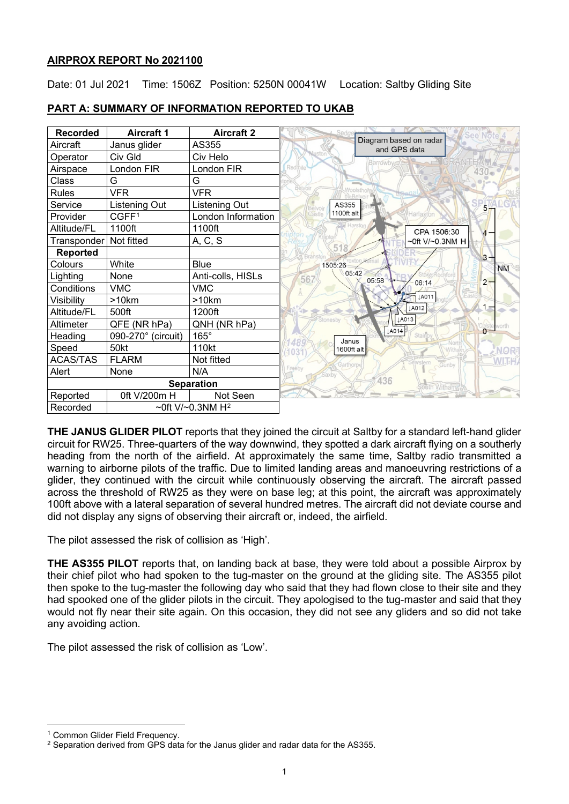# **AIRPROX REPORT No 2021100**

Date: 01 Jul 2021 Time: 1506Z Position: 5250N 00041W Location: Saltby Gliding Site

| <b>Recorded</b>                 | <b>Aircraft 1</b>  | <b>Aircraft 2</b>  | See Note 4                              |  |
|---------------------------------|--------------------|--------------------|-----------------------------------------|--|
| Aircraft                        | Janus glider       | AS355              | Diagram based on radar<br>and GPS data  |  |
| Operator                        | Civ Gld            | Civ Helo           | Barrowby                                |  |
| Airspace                        | London FIR         | _ondon FIR         | Redinile<br>430e                        |  |
| Class                           | G                  | G                  |                                         |  |
| <b>Rules</b>                    | <b>VFR</b>         | VFR                |                                         |  |
| Service                         | Listening Out      | Listening Out      | AS355                                   |  |
| Provider                        | CGFF <sup>1</sup>  | London Information | 1100ft alt<br>Harlaxton                 |  |
| Altitude/FL                     | 1100ft             | 1100ft             | CPA 1506:30<br>$\mathbf{A}$ –           |  |
| Transponder                     | Not fitted         | A, C, S            | ~0ft V/~0.3NM H                         |  |
| <b>Reported</b>                 |                    |                    | $3 -$                                   |  |
| Colours                         | White              | <b>Blue</b>        | 1505:26<br><b>NM</b>                    |  |
| Lighting                        | None               | Anti-colls, HISLs  | 05:42<br>567<br>05:58<br>$2 -$<br>06:14 |  |
| Conditions                      | <b>VMC</b>         | <b>VMC</b>         |                                         |  |
| Visibility                      | >10km              | >10km              | <b>LA011</b>                            |  |
| Altitude/FL                     | 500ft              | 1200ft             | $1 =$<br><b>JA012</b>                   |  |
| Altimeter                       | QFE (NR hPa)       | QNH (NR hPa)       | <b>JA013</b><br>Stonesby<br>$\Omega$ -  |  |
| Heading                         | 090-270° (circuit) | $165^\circ$        | <b>JA014</b><br><b>Stainby</b><br>Janus |  |
| Speed                           | 50kt               | 110kt              | 1600ft alt<br>NOF                       |  |
| <b>ACAS/TAS</b>                 | <b>FLARM</b>       | Not fitted         | Gunby                                   |  |
| Alert                           | None               | N/A                | Freeby                                  |  |
| <b>Separation</b>               |                    |                    | 436<br>outh Witham                      |  |
| Reported                        | 0ft V/200m H       | Not Seen           |                                         |  |
| ~0ft V/~0.3NM $H^2$<br>Recorded |                    |                    |                                         |  |

# **PART A: SUMMARY OF INFORMATION REPORTED TO UKAB**

**THE JANUS GLIDER PILOT** reports that they joined the circuit at Saltby for a standard left-hand glider circuit for RW25. Three-quarters of the way downwind, they spotted a dark aircraft flying on a southerly heading from the north of the airfield. At approximately the same time, Saltby radio transmitted a warning to airborne pilots of the traffic. Due to limited landing areas and manoeuvring restrictions of a glider, they continued with the circuit while continuously observing the aircraft. The aircraft passed across the threshold of RW25 as they were on base leg; at this point, the aircraft was approximately 100ft above with a lateral separation of several hundred metres. The aircraft did not deviate course and did not display any signs of observing their aircraft or, indeed, the airfield.

The pilot assessed the risk of collision as 'High'.

**THE AS355 PILOT** reports that, on landing back at base, they were told about a possible Airprox by their chief pilot who had spoken to the tug-master on the ground at the gliding site. The AS355 pilot then spoke to the tug-master the following day who said that they had flown close to their site and they had spooked one of the glider pilots in the circuit. They apologised to the tug-master and said that they would not fly near their site again. On this occasion, they did not see any gliders and so did not take any avoiding action.

The pilot assessed the risk of collision as 'Low'.

<span id="page-0-0"></span><sup>&</sup>lt;sup>1</sup> Common Glider Field Frequency.

<span id="page-0-1"></span> $2$  Separation derived from GPS data for the Janus glider and radar data for the AS355.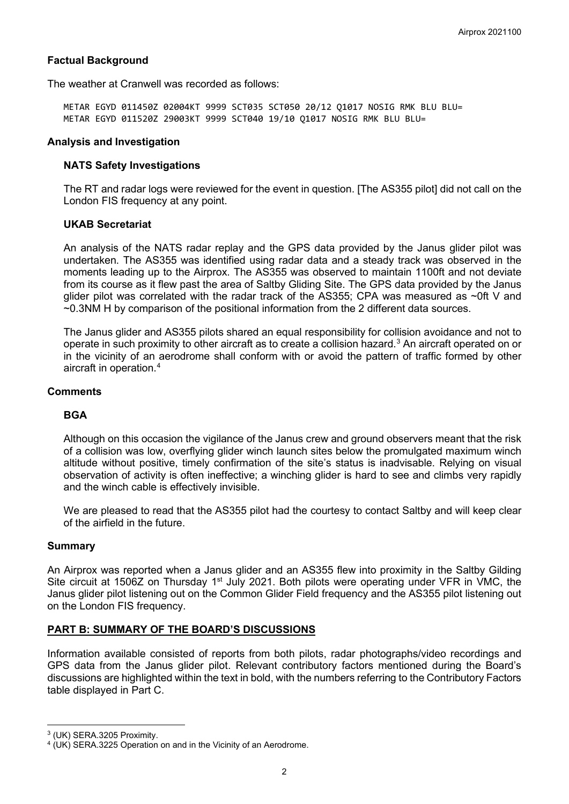### **Factual Background**

The weather at Cranwell was recorded as follows:

METAR EGYD 011450Z 02004KT 9999 SCT035 SCT050 20/12 Q1017 NOSIG RMK BLU BLU= METAR EGYD 011520Z 29003KT 9999 SCT040 19/10 Q1017 NOSIG RMK BLU BLU=

#### **Analysis and Investigation**

#### **NATS Safety Investigations**

The RT and radar logs were reviewed for the event in question. [The AS355 pilot] did not call on the London FIS frequency at any point.

#### **UKAB Secretariat**

An analysis of the NATS radar replay and the GPS data provided by the Janus glider pilot was undertaken. The AS355 was identified using radar data and a steady track was observed in the moments leading up to the Airprox. The AS355 was observed to maintain 1100ft and not deviate from its course as it flew past the area of Saltby Gliding Site. The GPS data provided by the Janus glider pilot was correlated with the radar track of the AS355; CPA was measured as ~0ft V and ~0.3NM H by comparison of the positional information from the 2 different data sources.

The Janus glider and AS355 pilots shared an equal responsibility for collision avoidance and not to operate in such proximity to other aircraft as to create a collision hazard. [3](#page-1-0) An aircraft operated on or in the vicinity of an aerodrome shall conform with or avoid the pattern of traffic formed by other aircraft in operation. [4](#page-1-1)

#### **Comments**

#### **BGA**

Although on this occasion the vigilance of the Janus crew and ground observers meant that the risk of a collision was low, overflying glider winch launch sites below the promulgated maximum winch altitude without positive, timely confirmation of the site's status is inadvisable. Relying on visual observation of activity is often ineffective; a winching glider is hard to see and climbs very rapidly and the winch cable is effectively invisible.

We are pleased to read that the AS355 pilot had the courtesy to contact Saltby and will keep clear of the airfield in the future.

#### **Summary**

An Airprox was reported when a Janus glider and an AS355 flew into proximity in the Saltby Gilding Site circuit at 1506Z on Thursday 1<sup>st</sup> July 2021. Both pilots were operating under VFR in VMC, the Janus glider pilot listening out on the Common Glider Field frequency and the AS355 pilot listening out on the London FIS frequency.

#### **PART B: SUMMARY OF THE BOARD'S DISCUSSIONS**

Information available consisted of reports from both pilots, radar photographs/video recordings and GPS data from the Janus glider pilot. Relevant contributory factors mentioned during the Board's discussions are highlighted within the text in bold, with the numbers referring to the Contributory Factors table displayed in Part C.

<span id="page-1-0"></span><sup>3</sup> (UK) SERA.3205 Proximity.

<span id="page-1-1"></span> $4$  (UK) SERA.3225 Operation on and in the Vicinity of an Aerodrome.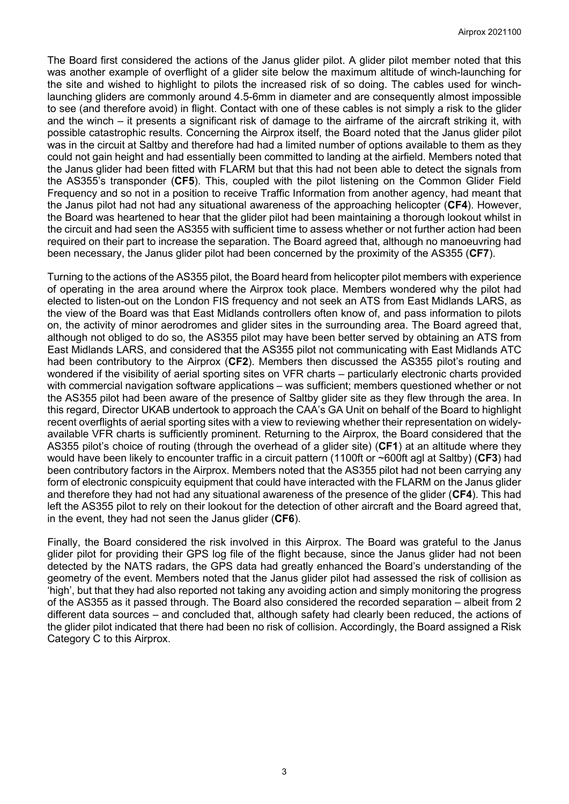The Board first considered the actions of the Janus glider pilot. A glider pilot member noted that this was another example of overflight of a glider site below the maximum altitude of winch-launching for the site and wished to highlight to pilots the increased risk of so doing. The cables used for winchlaunching gliders are commonly around 4.5-6mm in diameter and are consequently almost impossible to see (and therefore avoid) in flight. Contact with one of these cables is not simply a risk to the glider and the winch – it presents a significant risk of damage to the airframe of the aircraft striking it, with possible catastrophic results. Concerning the Airprox itself, the Board noted that the Janus glider pilot was in the circuit at Saltby and therefore had had a limited number of options available to them as they could not gain height and had essentially been committed to landing at the airfield. Members noted that the Janus glider had been fitted with FLARM but that this had not been able to detect the signals from the AS355's transponder (**CF5**). This, coupled with the pilot listening on the Common Glider Field Frequency and so not in a position to receive Traffic Information from another agency, had meant that the Janus pilot had not had any situational awareness of the approaching helicopter (**CF4**). However, the Board was heartened to hear that the glider pilot had been maintaining a thorough lookout whilst in the circuit and had seen the AS355 with sufficient time to assess whether or not further action had been required on their part to increase the separation. The Board agreed that, although no manoeuvring had been necessary, the Janus glider pilot had been concerned by the proximity of the AS355 (**CF7**).

Turning to the actions of the AS355 pilot, the Board heard from helicopter pilot members with experience of operating in the area around where the Airprox took place. Members wondered why the pilot had elected to listen-out on the London FIS frequency and not seek an ATS from East Midlands LARS, as the view of the Board was that East Midlands controllers often know of, and pass information to pilots on, the activity of minor aerodromes and glider sites in the surrounding area. The Board agreed that, although not obliged to do so, the AS355 pilot may have been better served by obtaining an ATS from East Midlands LARS, and considered that the AS355 pilot not communicating with East Midlands ATC had been contributory to the Airprox (**CF2**). Members then discussed the AS355 pilot's routing and wondered if the visibility of aerial sporting sites on VFR charts – particularly electronic charts provided with commercial navigation software applications – was sufficient; members questioned whether or not the AS355 pilot had been aware of the presence of Saltby glider site as they flew through the area. In this regard, Director UKAB undertook to approach the CAA's GA Unit on behalf of the Board to highlight recent overflights of aerial sporting sites with a view to reviewing whether their representation on widelyavailable VFR charts is sufficiently prominent. Returning to the Airprox, the Board considered that the AS355 pilot's choice of routing (through the overhead of a glider site) (**CF1**) at an altitude where they would have been likely to encounter traffic in a circuit pattern (1100ft or ~600ft agl at Saltby) (**CF3**) had been contributory factors in the Airprox. Members noted that the AS355 pilot had not been carrying any form of electronic conspicuity equipment that could have interacted with the FLARM on the Janus glider and therefore they had not had any situational awareness of the presence of the glider (**CF4**). This had left the AS355 pilot to rely on their lookout for the detection of other aircraft and the Board agreed that, in the event, they had not seen the Janus glider (**CF6**).

Finally, the Board considered the risk involved in this Airprox. The Board was grateful to the Janus glider pilot for providing their GPS log file of the flight because, since the Janus glider had not been detected by the NATS radars, the GPS data had greatly enhanced the Board's understanding of the geometry of the event. Members noted that the Janus glider pilot had assessed the risk of collision as 'high', but that they had also reported not taking any avoiding action and simply monitoring the progress of the AS355 as it passed through. The Board also considered the recorded separation – albeit from 2 different data sources – and concluded that, although safety had clearly been reduced, the actions of the glider pilot indicated that there had been no risk of collision. Accordingly, the Board assigned a Risk Category C to this Airprox.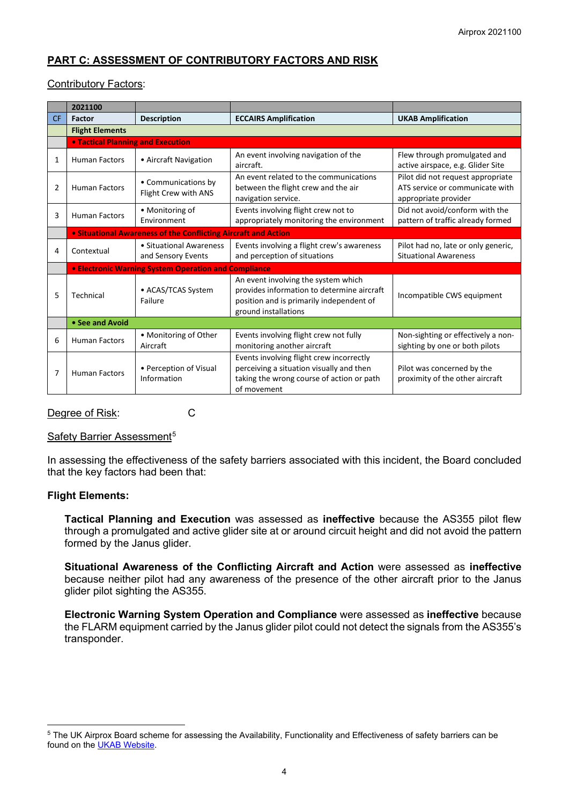# **PART C: ASSESSMENT OF CONTRIBUTORY FACTORS AND RISK**

#### Contributory Factors:

|                | 2021100                                                        |                                               |                                                                                                                                                       |                                                                                              |  |  |  |
|----------------|----------------------------------------------------------------|-----------------------------------------------|-------------------------------------------------------------------------------------------------------------------------------------------------------|----------------------------------------------------------------------------------------------|--|--|--|
| <b>CF</b>      | Factor                                                         | <b>Description</b>                            | <b>ECCAIRS Amplification</b>                                                                                                                          | <b>UKAB Amplification</b>                                                                    |  |  |  |
|                | <b>Flight Elements</b>                                         |                                               |                                                                                                                                                       |                                                                                              |  |  |  |
|                | <b>. Tactical Planning and Execution</b>                       |                                               |                                                                                                                                                       |                                                                                              |  |  |  |
| 1              | <b>Human Factors</b>                                           | • Aircraft Navigation                         | An event involving navigation of the<br>aircraft.                                                                                                     | Flew through promulgated and<br>active airspace, e.g. Glider Site                            |  |  |  |
| $\overline{2}$ | <b>Human Factors</b>                                           | • Communications by<br>Flight Crew with ANS   | An event related to the communications<br>between the flight crew and the air<br>navigation service.                                                  | Pilot did not request appropriate<br>ATS service or communicate with<br>appropriate provider |  |  |  |
| 3              | <b>Human Factors</b>                                           | • Monitoring of<br>Environment                | Events involving flight crew not to<br>appropriately monitoring the environment                                                                       | Did not avoid/conform with the<br>pattern of traffic already formed                          |  |  |  |
|                | • Situational Awareness of the Conflicting Aircraft and Action |                                               |                                                                                                                                                       |                                                                                              |  |  |  |
| 4              | Contextual                                                     | • Situational Awareness<br>and Sensory Events | Events involving a flight crew's awareness<br>and perception of situations                                                                            | Pilot had no, late or only generic,<br><b>Situational Awareness</b>                          |  |  |  |
|                | <b>• Electronic Warning System Operation and Compliance</b>    |                                               |                                                                                                                                                       |                                                                                              |  |  |  |
| 5              | Technical                                                      | • ACAS/TCAS System<br>Failure                 | An event involving the system which<br>provides information to determine aircraft<br>position and is primarily independent of<br>ground installations | Incompatible CWS equipment                                                                   |  |  |  |
|                | • See and Avoid                                                |                                               |                                                                                                                                                       |                                                                                              |  |  |  |
| 6              | <b>Human Factors</b>                                           | • Monitoring of Other<br>Aircraft             | Events involving flight crew not fully<br>monitoring another aircraft                                                                                 | Non-sighting or effectively a non-<br>sighting by one or both pilots                         |  |  |  |
| 7              | <b>Human Factors</b>                                           | • Perception of Visual<br>Information         | Events involving flight crew incorrectly<br>perceiving a situation visually and then<br>taking the wrong course of action or path<br>of movement      | Pilot was concerned by the<br>proximity of the other aircraft                                |  |  |  |

Degree of Risk: C

Safety Barrier Assessment<sup>[5](#page-3-0)</sup>

In assessing the effectiveness of the safety barriers associated with this incident, the Board concluded that the key factors had been that:

## **Flight Elements:**

**Tactical Planning and Execution** was assessed as **ineffective** because the AS355 pilot flew through a promulgated and active glider site at or around circuit height and did not avoid the pattern formed by the Janus glider.

**Situational Awareness of the Conflicting Aircraft and Action** were assessed as **ineffective** because neither pilot had any awareness of the presence of the other aircraft prior to the Janus glider pilot sighting the AS355.

**Electronic Warning System Operation and Compliance** were assessed as **ineffective** because the FLARM equipment carried by the Janus glider pilot could not detect the signals from the AS355's transponder.

<span id="page-3-0"></span><sup>5</sup> The UK Airprox Board scheme for assessing the Availability, Functionality and Effectiveness of safety barriers can be found on the **UKAB Website**.